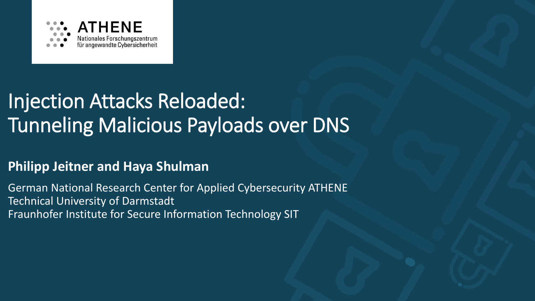

## Injection Attacks Reloaded: Tunneling Malicious Payloads over DNS

### **Philipp Jeitner and Haya Shulman**

German National Research Center for Applied Cybersecurity ATHENE Technical University of Darmstadt Fraunhofer Institute for Secure Information Technology SIT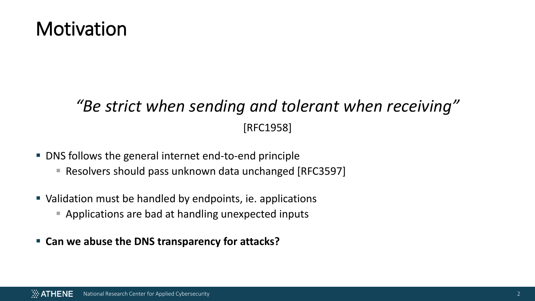## **Motivation**

## *"Be strict when sending and tolerant when receiving"* [RFC1958]

- DNS follows the general internet end-to-end principle
	- Resolvers should pass unknown data unchanged [RFC3597]
- Validation must be handled by endpoints, ie. applications
	- Applications are bad at handling unexpected inputs
- **Can we abuse the DNS transparency for attacks?**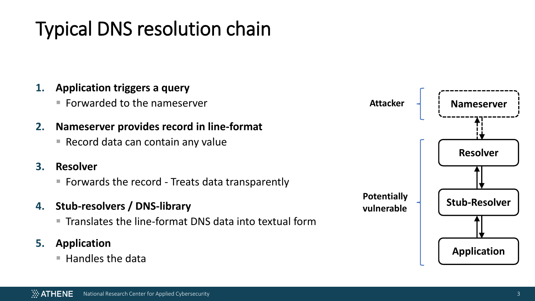# Typical DNS resolution chain

### **1. Application triggers a query**

■ Forwarded to the nameserver

### **2. Nameserver provides record in line-format**

■ Record data can contain any value

#### **3. Resolver**

■ Forwards the record - Treats data transparently

### **4. Stub-resolvers / DNS-library**

 $\blacksquare$  Translates the line-format DNS data into textual form

### **5. Application**

 $\blacksquare$  Handles the data

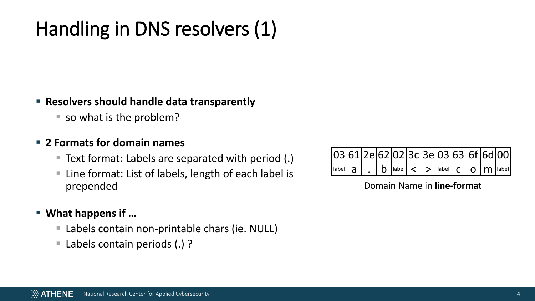## Handling in DNS resolvers (1)

#### ▪ **Resolvers should handle data transparently**

■ so what is the problem?

#### ▪ **2 Formats for domain names**

- Text format: Labels are separated with period (.)
- Line format: List of labels, length of each label is prepended

### ▪ **What happens if …**

- Labels contain non-printable chars (ie. NULL)
- Labels contain periods (.) ?

| $\boxed{03 61 2e 62 02 3c 3e 03 63 6f 6d 00}$                                                                         |  |  |  |  |  |  |
|-----------------------------------------------------------------------------------------------------------------------|--|--|--|--|--|--|
| $\vert$ label $a \vert$ . $\vert b \vert$ label $\vert < \vert > \vert$ label $\vert c \vert$ O $\vert m \vert$ label |  |  |  |  |  |  |

#### Domain Name in **line-format**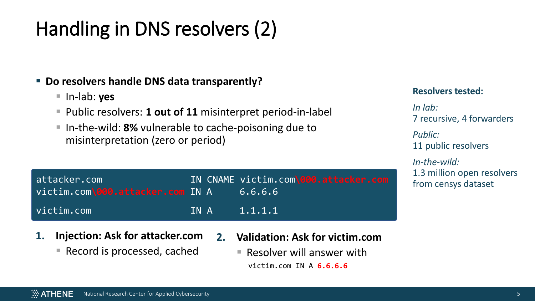## Handling in DNS resolvers (2)

### ▪ **Do resolvers handle DNS data transparently?**

- In-lab: **yes**
- Public resolvers: **1 out of 11** misinterpret period-in-label
- In-the-wild: 8% vulnerable to cache-poisoning due to misinterpretation (zero or period)

| attacker.com                     |  | IN CNAME victim.com\000.attacker.com |
|----------------------------------|--|--------------------------------------|
| victim.com\000.attacker.com IN A |  | 6.6.6.6                              |
| victim.com                       |  | IN A 1.1.1.1                         |

- **1. Injection: Ask for attacker.com**
	- Record is processed, cached
- **2. Validation: Ask for victim.com**
	- $\blacksquare$  Resolver will answer with victim.com IN A **6.6.6.6**

#### **Resolvers tested:**

*In lab:*  7 recursive, 4 forwarders

*Public:*  11 public resolvers

*In-the-wild:*  1.3 million open resolvers from censys dataset.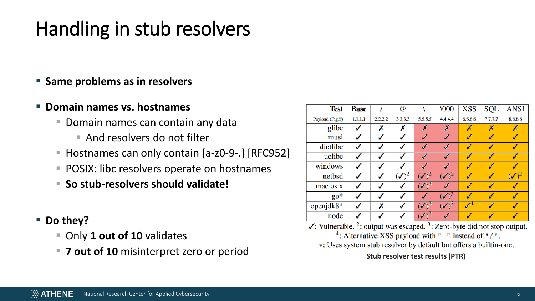#### $\ddot{\mathbb{Z}}$  ATHENE National Research Center for Applied Cybersecurity 6

## Handling in stub resolvers

### ▪ **Same problems as in resolvers**

### ▪ **Domain names vs. hostnames**

- $\blacksquare$  Domain names can contain any data
	- $\blacksquare$  And resolvers do not filter
- Hostnames can only contain [a-z0-9-.] [RFC952]
- POSIX: libc resolvers operate on hostnames
- So stub-resolvers should validate!

### ■ **Do they?**

- Only 1 out of 10 validates
- 7 out of 10 misinterpret zero or period **Water 2008** Stub resolver by default but offers a builtin-one.

| <b>Test</b>     | <b>Base</b> |         | $^\text{\textregistered}$ |                         | \000                       | <b>XSS</b> | SQL           | <b>ANSI</b> |
|-----------------|-------------|---------|---------------------------|-------------------------|----------------------------|------------|---------------|-------------|
| Payload (Fig.9) | 1.1.1.1     | 2.2.2.2 | 3.3.3.3                   | 5.5.5.5                 | 4.4.4.4                    | 6.6.6.6    | 7.7.7.7       | 8.8.8.8     |
| glibc           |             | Х       | Х                         | X                       | Х                          | Х          | Х             | Х           |
| musl            |             |         |                           | √                       |                            | √          | ℐ             |             |
| dietlibc        |             |         |                           |                         |                            | ৶          | J             |             |
| uclibe          |             |         |                           | J                       | √                          | ৶          | √             |             |
| windows         |             |         |                           |                         |                            | √          | √             |             |
| netbsd          |             |         | ✓                         | $\sqrt{2}$              | $\mathcal{N}$ <sup>2</sup> | √          | √             | ✔           |
| mac os x        |             |         |                           | $\sqrt{2}$              |                            | √          | ✔             |             |
| $\text{go}^*$   |             |         |                           |                         | $\blacktriangledown$       | √          | $\mathscr{A}$ |             |
| openjdk8*       |             | Х       |                           | $\overline{\mathsf{v}}$ | $\blacklozenge$            | $\sqrt{4}$ | ℐ             | √           |
| node            |             |         |                           | $\sqrt{2}$              |                            |            |               |             |

 $\checkmark$ : Vulnerable.<sup>2</sup>: output was escaped.<sup>3</sup>: Zero-byte did not stop output.

<sup>4</sup>: Alternative XSS payload with " " instead of " / ".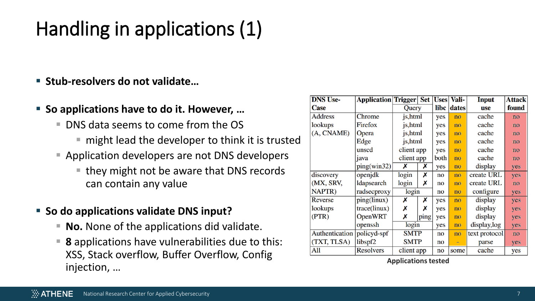# Handling in applications (1)

- **Stub-resolvers do not validate…**
- So applications have to do it. However, ...
	- DNS data seems to come from the OS
		- $\blacksquare$  might lead the developer to think it is trusted
	- Application developers are not DNS developers
		- $\blacksquare$  they might not be aware that DNS records can contain any value
- So do applications validate DNS input?
	- **No.** None of the applications did validate.
	- **8** applications have vulnerabilities due to this: XSS, Stack overflow, Buffer Overflow, Config injection, … **Applications tested**

| <b>DNS Use-</b> | <b>Application Trigger</b> |             | <b>Set</b> | <b>Uses</b> | Vali-    | <b>Input</b>  | <b>Attack</b> |
|-----------------|----------------------------|-------------|------------|-------------|----------|---------------|---------------|
| <b>Case</b>     |                            | Query       |            | libc        | dates    | use           | found         |
| <b>Address</b>  | Chrome                     | js, html    |            | yes         | no       | cache         | no            |
| lookups         | Firefox                    | js, html    |            | yes         | no       | cache         | no            |
| (A, CNAME)      | Opera                      | js, html    |            | yes         | no       | cache         | no            |
|                 | Edge                       | js, html    |            | yes         | no       | cache         | no            |
|                 | unscd                      | client app  |            | yes         | no       | cache         | no            |
|                 | java                       | client app  |            | both        | no       | cache         | no            |
|                 | ping(win32)                | х           | Х          | yes         | no       | display       | yes           |
| discovery       | openjdk                    | login       | Х          | no          | no       | create URL    | yes           |
| (MX, SRV,       | ldapsearch                 | login       | Х          | no          | no       | create URL    | no            |
| NAPTR)          | radsecproxy                | login       |            | no          | no       | configure     | yes           |
| Reverse         | ping(linux)                | Х           | Х          | yes         | no       | display       | yes           |
| lookups         | trace(linux)               | X           | Х          | yes         | no       | display       | yes           |
| (PTR)           | <b>OpenWRT</b>             | Х           | ping       | yes         | no       | display       | yes           |
|                 | openssh                    | login       |            | yes         | no       | display, log  | yes           |
| Authentication  | policyd-spf                | <b>SMTP</b> |            | no          | no       | text protocol | no            |
| (TXT, TLSA)     | libspf <sub>2</sub>        | <b>SMTP</b> |            | no          | $\equiv$ | parse         | yes           |
| All             | <b>Resolvers</b>           |             | client app |             | some     | cache         | yes           |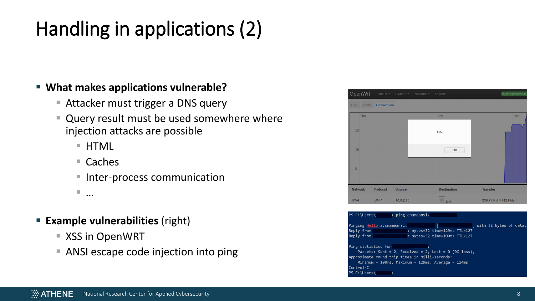# Handling in applications (2)

#### ▪ **What makes applications vulnerable?**

- Attacker must trigger a DNS query
- Query result must be used somewhere where injection attacks are possible
	- HTML
	- $\blacksquare$  Caches
	- Inter-process communication

▪ …

- **Example vulnerabilities** (right)
	- XSS in OpenWRT
	- ANSI escape code injection into ping



| $PS C:\Upsilon\$                                                                                                                                                                                                                                           |                                                                                                                           |  |  |  |  |  |  |
|------------------------------------------------------------------------------------------------------------------------------------------------------------------------------------------------------------------------------------------------------------|---------------------------------------------------------------------------------------------------------------------------|--|--|--|--|--|--|
| Reply from<br>Reply from the control of the control of the control of the control of the control of the control of the control of the control of the control of the control of the control of the control of the control of the control of t               | Pinging Hello.a.cnameansi. The same of the set of data:<br>: bytes=32 time=129ms TTL=127<br>: bytes=32 time=100ms TTL=127 |  |  |  |  |  |  |
| Ping statistics for<br>Packets: Sent = 2, Received = 2, Lost = $\theta$ ( $\theta\%$ loss),<br>Approximate round trip times in milli-seconds:<br>Minimum = $100ms$ , Maximum = $129ms$ , Average = $114ms$<br>Control-C<br>$PS C:\Upsilon \longrightarrow$ |                                                                                                                           |  |  |  |  |  |  |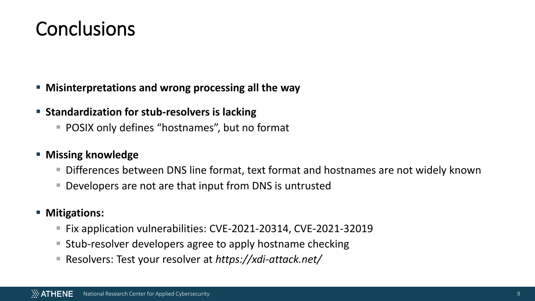## **Conclusions**

#### ▪ **Misinterpretations and wrong processing all the way**

#### ■ Standardization for stub-resolvers is lacking

■ POSIX only defines "hostnames", but no format

#### ▪ **Missing knowledge**

- Differences between DNS line format, text format and hostnames are not widely known
- Developers are not are that input from DNS is untrusted

#### ▪ **Mitigations:**

- Fix application vulnerabilities: CVE-2021-20314, CVE-2021-32019
- Stub-resolver developers agree to apply hostname checking
- Resolvers: Test your resolver at *https://xdi-attack.net/*